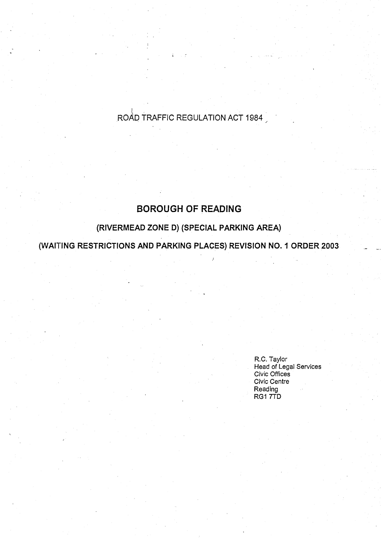# ROAD TRAFFIC REGULATION ACT 1984

## **BOROUGH OF READING**

## **(RIVERMEAD ZONE D) (SPECIAL PARKING AREA)**

**(WAITING RESTRICTIONS AND PARKING PLACES** ) **REVISION NO. I ORDER 2003**

R.C. Taylor **Head of Legal Se** rv**ices Civic Office s Civic Centre Reading** RG1 7TD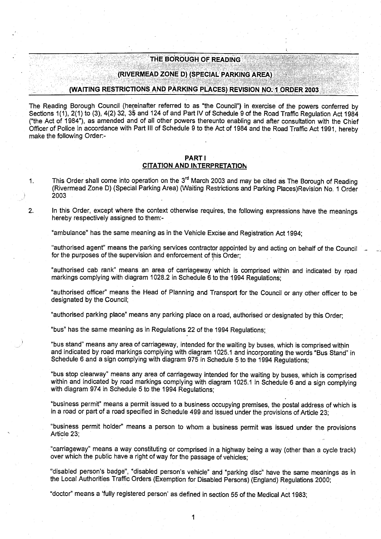#### **THE BOROUGH OF READING**

#### (RIVERMEAD ZONE D) (SPECIAL PARKING AREA)

#### **(WAITING RESTRICTIONS AND PARKING PLACES** ) **REVISION NO**. **I ORDER 2003**

**The Reading Borough Council (hereinafter referred to as "the Council** ") **in exercise of .the powers conferred by** Sections 1(1), 2(1) to (3), 4(2) 32, 35 and 124 of and Part IV of Schedule 9 of the Road Traffic Regulation Act 1984 **("the Act of 1984** "), **as amended and of all other powers thereunto enabling and after consultation with the Chief** Officer of Police in accordance with Part III of Schedule 9 to the Act of 1984 and the Road Traffic Act 1991, hereby make the following Order:-

#### PART **<sup>I</sup> CITATION AND INTERPRETATION**

1. This Order shall come into operation on the 3<sup>rd</sup> March 2003 and may be cited as The Borough of Reading (Rivermead Zone D) (Special Parking Area) (Waiting Restrictions and Parking Places)Revision No . 1 Order 2003

**2. In this Order**, **except where the context otherwise requires**, **the following expressions have the meanings hereby respectively assigned to them :-**

**"ambulance" has the same meaning as in the** Vehicle **Excise and Registration** Act 1994;

**"authorised agent**" **means the parking services contractor appointed by and acting on behalf of the Council** for the purposes of the supervision and enforcement of this Order:

"authorised cab rank" **means an area** of carriageway which is comprised within and indicated by road **markings complying with diagram 1028**. **2 in Schedule 6 to the 1994 Regulations ;**

"authorised officer" means the Head of Planning and Transport for the Council or any other officer to be designated by the Council;

**"authorised parking place**" **means any parking place on a road** , **authorised or designated by this Order;**

**"bus" has the same meaning as in Regulations 22 of the 1994 Regulations ;**

**"bus stand**" **means any area of carriageway** , **intended for the waiting by buses** , **which is comprised within and indicated by road markings complying with diagram 1025 .1 and incorporating the words "Bus Stand" in Schedule 6 and a sign complying with diagram 975 in Schedule 5 to the 1994 Regulations ;**

**"bus stop clearway" means any area of carriageway intended for the waiting by buses, which is comprised within and indicated by road markings complying with diagram 1025** . **1 in Schedule 6 and a sign complying with diagram** 974 in **Schedule 5 to the 1994 Regulations ;**

**"business permit** " **means a permit issued to a business occupying premises** , **the postal address of which is** in a road or part of a road specified in Schedule 499 and issued under the provisions of Article 23;

**"business permit holder**" **means a person to whom a business permit was issued under the provisions** Article 23;

**"carriageway" means a way constituting or comprised in a highway being a way** (**other than a cycle track)** over which the public have a right of way for the passage of vehicles;

**"disabled person's badge**", "**disabled person**'**s vehicle" and "parking disc" have the same meanings as in the Local Authorities Traffic Orders** (**Exemption for Disabled Persons**) (**England**) **Regulations 2000;**

"doctor" **means a 'fully registered person** ' **as defined in section 55 of the Medical** Act 1983;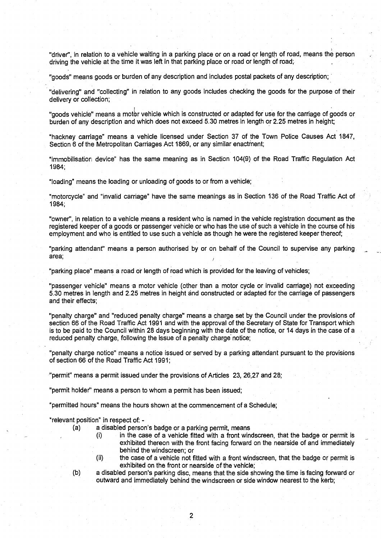**"driver"** , **in relation to a vehicle waiting in a parking place or on a road or length of road** , **means the person driving the vehicle at the time it was left in that parking place or road or length of road;**

**"goods**" **means goods or burden of any description and includes postal packets of any description ;**

"delivering" **and "collecting**" **in relation to any goods includes checking the goods for the purpose** of their delivery or **collection ;**

**"goods vehicle**" **means a motor vehicle which is constructed or adapted for use for the carriage of goods or burden of any description and which does not exceed 5 .30 metres in length or 2.25 metres in height;**

**"hackney carriage**" **means a vehicle licensed under Section 37 of the Town Police Causes Act 1847, Section 6 of the Metropolitan Carriages** Act 1869**, or any similar enactment;**

**"immobilisation device** " **has the same meaning as in Section 104(9** ) **of the Road Traffic Regulation Act** 1984;

**"loading**" **means the loading or unloading of goods to or from a vehicle ;**

"motorcycle" **and "invalid carriage**" **have the same meanings as in Section** 136 of the Road Traffic Act of 1984 ;

**"owner"** , **in relation to a vehicle means a resident who is named in the vehicle registration document as the registered keeper of a goods or passenger vehicle or who has the use of such a vehicle in the course of his** employment and who is entitled to use such a vehicle as though he were the registered keeper thereof;

**"parking a**tt**endant**" **means a person authorised by or on behalf of the Council to supervise any parking area;**

"parking place" means a road or length of road which is provided for the leaving of vehicles;

"passenger vehicle" means a motor vehicle (other than a motor cycle or invalid carriage) not exceeding **5.30 metres in length and 2**.**25 metres in height and constructed or adapted for the carriage of passengers** and their effects;

**"penalty charge" and "reduced penal**ty **charge**" **means a charge set by the Council under the provisions of** section 66 of the Road Traffic Act 1991 and with the approval of the Secretary of State for Transport which **is to be paid to the Council within 28 days beginning with the date of** th**e notice, or 14 days in the case of a reduced penalty charge** , **following the issue of a penalty charge notice ;**

**"penalty charge notice" means a notice issued or served by a parking a** tt**endant pursuant to the provisions** of section 66 of the Road Traffic Act 1991;

**"permit** " **means a permit issued under the provisions of A** rt**icles 23, 26,27 and 28 ;**

"permit holder" means a person to whom a permit has been issued;

**"permi**tt**ed hours**" **means the hours shown at the commencement of a Schedule ;**

**"relevant position**" **in respect** of.

- **(a) a disabled person**'**s badge or a parking permit, mean <sup>s</sup>**
	- $(i)$  in the case of a vehicle fitted with a front windscreen, that the badge or permit is **exhibited thereon with the front facing forward on the nearside of and immediately behind the windscreen; or**
	- (ii) the case of a vehicle not fitted with a front windscreen, that the badge or permit is **exhibited on the front or nearside of the vehicle;**
- **(b) a disabled person**' **s parking disc, means that the side showing the time is facing forward or outward and immediately behind the windscreen or side window nearest to the kerb;**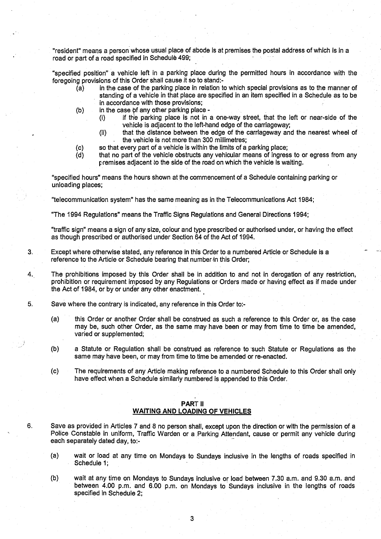"resident" means a person whose usual place of abode is at premises the postal address of which is in a road or part of a road specified in Schedule 499;

"specified position" a vehicle left in a parking place during the permitted hours in accordance with the foregoing provisions of this Order shall cause it so to stand:-

- $\overline{a}$  in the case of the parking place in relation to which special provisions as to the manner of standing of a vehicle in that place are specified in an item specified in a Schedule as to be in accordance with those provisions;
- (b) in the case of any other parking place -
	- (i) if the parking place is not in a one-way street, that the left or near-side of the vehicle is adjacent to the left-hand edge of the carriageway;
	- (ii) that the distance between the edge of the carriageway and the nearest wheel of the vehicle is not more than 300 millimetres;
- (c) so that every part of a vehicle is within the limits of a parking place;<br>(d) that no part of the vehicle obstructs any vehicular means of ingres
- that no part of the vehicle obstructs any vehicular means of ingress to or egress from any premises adjacent to the side of the road on which the vehicle is waiting.

"specified hours" means the hours shown at the commencement of a Schedule containing parking or unloading places;

"telecommunication system" has the same meaning as in the Telecommunications Act 1984 ;

"The 1994 Regulations" means the Traffic Signs Regulations and General Directions 1994 ;

"traffic sign" means a sign of any size, colour and type prescribed or authorised under, or having the effect as though prescribed or authorised under Section 64 of the Act of 1994 .

3. Except where otherwise stated, any reference in this Order to a numbered Article or Schedule is a reference to the Article or Schedule bearing that number in this Order;

4. . The prohibitions imposed by this Order shall be in addition to and not in derogation of any restriction, prohibition or requirement imposed by any Regulations or Orders made or having effect as if made under the Act of 1984, or by or under any other enactment.

- 5. Save where the contrary is indicated, any reference in this Order to:-
	- (a) this Order or another Order shall be construed as such a reference to this Order or, as the case may be, such other Order, as the same may have been or may from time to time be amended, varied or supplemented;
	- (b) a Statute or Regulation shall be construed as reference to such Statute or Regulations as the same may have been, or may from time to time be amended or re-enacted.
	- (c) The requirements of any Article making reference to a numbered Schedule to this Order shall only have effect when a Schedule similarly numbered is appended to this Order.

#### PART II **WAITING AND LOADING OF VEHICLES**

6. Save as provided in Articles 7 and 8 no person shall, except upon the direction or with the permission of a Police Constable in uniform, Traffic Warden or a Parking Attendant, cause or permit any vehicle during each separately dated day, to:-

- (a) wait or load at any time on Mondays to Sundays inclusive in the lengths of roads specified in Schedule 1;
- (b) wait at any time on Mondays to Sundays inclusive or load between 7 .30 a.m. and 9 .30 a.m. and between 4.00 p.m. and 6.00 p.m. on Mondays to Sundays inclusive in the lengths of roads specified in Schedule 2;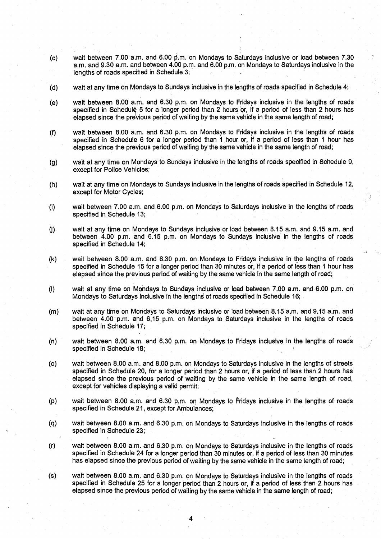- **(c) wait between 7.00 a** . **<sup>m</sup> . and 6**.**00 P.m . on Mondays to Saturdays inclusive or load between 7 .30 a.m. and 9.30 a**.**m . and between 4 .00 p.m. and 6** . **00 p.m**. **on Mondays to Saturdays inclusive in the lengths of roads specified in Schedule 3 ;**
- **(d) wait at any time on Mondays to Sundays inclusive in the lengths of roads specified in Schedule 4 ;**
- **(e) wait between 8.00 a**. **m . and 6.30 p.m**. **on Mondays to Fridays inclusive in the lengths of roads** specified in Schedule 5 for a longer period than 2 hours or, if a period of less than 2 hours has elapsed since the previous period of waiting by the same vehicle in the same length of road;
- **(f) wait between 8 .00 a**. **m. and 6**. **30 p.m**. **on Mondays to Fridays inclusive in the lengths of roads specified in Schedule 6 for a longer period than 1 hour or, if a period of less than 1 hour has elapsed since the previous period of waiting by the same vehicle in the same length of road ;**
- **(g) wait at any time on Mondays to Sundays inclusive in the lengths of roads specified in Schedule 9, except for Police Vehicles ;**
- **(h) wait at any time on Mondays to Sundays inclusive in the lengths of roads specified in Schedule 12, except for Motor Cycles ;**
- **(i) wait between 7.00 a**. **m. and 6.00 p**. **m. on Mondays to Saturdays inclusive in the lengths of roads specified in Schedule 13 ;**
- **(j) wait at any time on Mondays to Sundays inclusive or load between 8 .15 a**.**m. and 9.15 a.m. and between 4.00 p**.**m. and 6**.**15 p.m**. **on Mondays to Sundays inclusive in the lengths of roads specified in Schedule 14 ;**
- **(k) wait between 8 .00 a**.m . and **6.30 p**.**<sup>m</sup> . on Mondays to Fridays inclusive in the lengths of roads specified in Schedule 15 for a longer period than 30 minutes or, if a period of less than 1 hour has elapsed since the previous period of waiting by the same vehicle in the same length of road ;**
- **(I) wait at any time on Mondays to Sundays inclusive or load between 7 .00 a**.**m. and 6** . **00 p.m. on Mondays to Saturdays inclusive in the lengths of roads specified in Schedule 16 ;**
- **(m) wait at any time on Mondays to Saturdays inclusive or load between 8 .15 a.m. and 9.15 a.m. and between 4.00 p**. **m. and 6,15 p .m . on Mondays to Saturdays inclusive in the lengths of roads specified in Schedule 17;**
- **(n) wait between 8 .00 a**. **m. and 6**. **30 p.m**. **on Mondays to Fridays inclusive in the lengths of roads specified in Schedule 18;**
- **(o) wait between 8 .00 a**.m . and **8.00 p**. **<sup>m</sup> . on Mondays to Saturdays inclusive in the lengths of streets specified in Schedule 20, for a longer period than 2 hours or**, **if a period of less than 2 hours has elapsed since the previous period of waiting by the same vehicle in the same length of road,** except for vehicles displaying a valid permit;
- **(p) wait between 8 .00 a**.**m. and 6**.**30 p.m**. **on Mondays to Fridays inclusive in the lengths of roads specified in Schedule 21** , **except for Ambulances ;**
- **(q) wait between 8.00 a**. **m. and 6.30 p**.**m. on Mondays to Saturdays inclusive in the lengths of roads specified in Schedule 23;**
- **(r) wait between 8 .00 a**. **m. and 6**.**30 p.m**. **on Mondays to Saturdays inclusive in the lengths of roads specified in Schedule 24 for a longer period than 30 minutes or**, **if a period of less than 30 minutes has elapsed since the previous period of waiting by the same vehicle in the same length of road ;**

**(s) wait between 8.00 a**. **m. and 6**.**30 p.m**. **on Mondays to Saturdays inclusive in the lengths of roads specified in Schedule 25 for a longer period than 2 hours or**, **if a period of less than 2 hours has elapsed since the previous period of waiting by the same vehicle in the same length of road ;**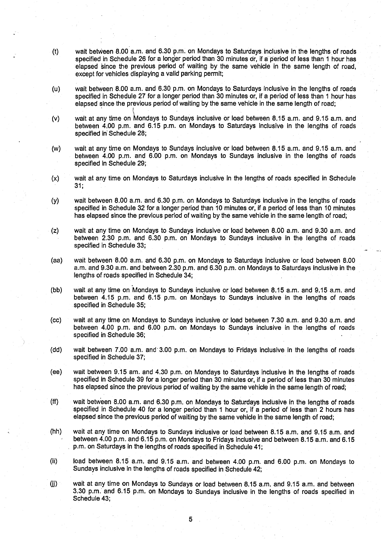- (t) wait between 8.00 a.m. and 6.30 p.m. on Mondays to Saturdays inclusive in the lengths of roads specified in Schedule 26 for a longer period than 30 minutes or, if a period of less than 1 hour has elapsed since the previous period of waiting by the same vehicle in the same length of road, except for vehicles displaying a valid parking permit;
- (u) wait between 8.00 a.m. and 6.30 p.m . on Mondays to Saturdays inclusive in the lengths of roads specified in Schedule 27 for a longer period than 30 minutes or, if a period of less than 1 hour has elapsed since the previous period of waiting by the same vehicle in the same length of road;
- (v) wait at any time on Mondays to Sundays inclusive or load between 8 .15 a.m. and 9.15 a.m . and between 4 .00 p.m. and 6.15 p.m. on Mondays to Saturdays inclusive in the lengths of roads specified in Schedule 28;
- (w) wait at any time on Mondays to Sundays inclusive or load between 8 .15 a.m . and 9 .15 a.m . and between 4.00 p.m. and 6.00 p.m. on Mondays to Sundays inclusive in the lengths of roads specified in Schedule 29;
- (x) wait at any time on Mondays to Saturdays inclusive in the lengths of roads specified in Schedule  $31.$
- (y) wait between 8 .00 a.m . and 6.30 p.m . on Mondays to Saturdays inclusive in the lengths of roads specified in Schedule 32 for a longer period than 10 minutes or, if a period of less than 10 minutes has elapsed since the previous period of waiting by the same vehicle in the same length of road;
- (z) wait at any time on Mondays to Sundays inclusive or load between 8 .00 a.m . and 9 .30 a.m . and between 2.30 p.m. and 6.30 p.m. on Mondays to Sundays inclusive in the lengths of roads specified in Schedule 33;
- (aa) wait between 8 .00 a .m . and 6.30 p.m . on Mondays to Saturdays inclusive or load between 8 .00 a.m . and 9.30 a.m. and between 2.30 p.m. and 6.30 p.m. on Mondays to Saturdays inclusive in the lengths of roads specified in Schedule 34;
- (bb) wait at any time on Mondays to Sundays inclusive or load between 8.15 a.m. and 9.15 a.m. and between 4.15 p.m . and 6.15 p.m. on Mondays to Sundays inclusive in the lengths of roads specified in Schedule 35;
- (cc) wait at any time on Mondays to Sundays inclusive or load between 7 .30 a.m. and 9.30 a.m. and between 4.00 p.m. and 6.00 p.m. on Mondays to Sundays inclusive in the lengths of roads specified in Schedule 36;
- (dd) wait between 7.00 a.m. and 3.00 p.m. on Mondays to Fridays inclusive in the lengths of roads specified in Schedule 37;
- (ee) wait between 9 .15 am . and 4.30 p.m . on Mondays to Saturdays inclusive in the lengths of roads specified in Schedule 39 for a longer period than 30 minutes or, if a period of less than 30 minutes has elapsed since the previous period of waiting by the same vehicle in the same length of road;
- (ff) wait between 8.00 a.m. and 6.30 p.m. on Mondays to Saturdays inclusive in the lengths of roads specified in Schedule 40 for a longer period than 1 hour or, if a period of less than 2 hours has elapsed since the previous period of waiting by the same vehicle in the same length of road;
- (hh) wait at any time on Mondays to Sundays inclusive or load between 8 .15 a.m. and 9.15 a.m. and between 4.00 p.m. and-6.15 p.m. on Mondays to Fridays inclusive and between 8 .15 a.m. and 6.15 p.m. on Saturdays in the lengths of roads specified in Schedule 41;
- (ii) load between 8.15 a.m. and 9.15 a.m. and between 4.00 p.m. and 6.00 p.m. on Mondays to Sundays inclusive in the lengths of roads specified in Schedule 42;
- Qj) wait at any time on Mondays to Sundays or load between 8.15 a.m. and 9.15 a.m . and between 3.30 p.m. and 6.15 p.m. on Mondays to Sundays inclusive in the lengths of roads specified in Schedule 43;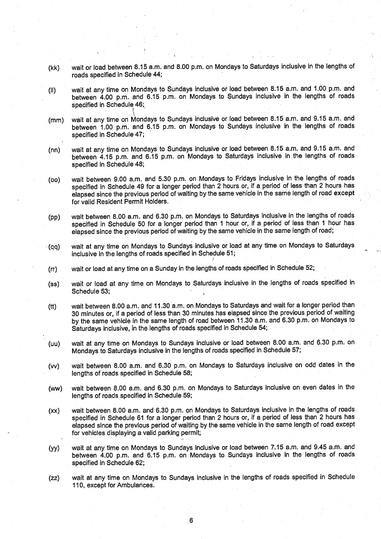- **(kk) wait or load between 8.15 a.m. and 8** . **00 p.m**. **on Mondays to Saturdays inclusive in the lengths of roads specified in Schedule 44 ;**
- **(II) wait at any time on Mondays to Sundays inclusive or load between 8 .15 a**. **m. and** <sup>1</sup> .00 p.m. and **between 4.00 p**.**<sup>m</sup> . and 6** . **15 p.m**. **on Mondays to Sundays inclusive in the lengths of roads specified in Schedule 46 ;**
- **(mm) wait at any time on Mondays to Sundays inclusive or load between 8 .15 a.m . and 9**.**15 a.m. and between 1 .00 p.m** . **and 6** . **15 p.m** . **on Mondays to Sundays inclusive in the lengths of roads specified in Schedule 47 ;**
- **(nn) wait at any time on Mondays to Sundays inclusive or load between 8 .15 a.m . and 9**.**15 a.m. and between 4.15 p.m** . **and 6 .15 p.m. on Mondays to Saturdays inclusive in the lengths of roads specified in Schedule 48 ;**
- **(oo) wait between 9 .00 a**.**<sup>m</sup> . and 5.30 p**. **<sup>m</sup> . on Mondays to Fridays inclusive in the lengths of roads specified in Schedule 49 for a longer period than 2** hours **or, if a period of less than 2 hours has elapsed since the previous period of waiting by the same vehicle in the same length of road except for valid Resident Permit Holders .**
- **(pp) wait between 8.00 a**. **m. and 6.30 p**.**<sup>m</sup> . on Mondays to Saturdays inclusive in the lengths of roads specified in Schedule 50 for a longer period than 1 hour or, if a period of less than 1 hour has elapsed since the previous period of waiting by the same vehicle in the same length of road ;**
- **(qq) wait at any time on Mondays to Sundays inclusive or load at any time on Mondays to Saturdays inclusive in the lengths of roads specified in Schedule 51 ;**
- **(rr) wait or load at any time on a Sunday in the lengths of roads specified in Schedule 52 ;**
- **(ss) wait or load at any time on Mondays to Saturdays inclusive in the lengths of roads specified in** Schedule 53;
- **(tt) wait between 8 .00 a**. **m. and 11** . **30 a.m** . **on Mondays to Saturdays and** wait **for a longer period than 30 minutes or, if a period of less than 30 minutes has elapsed since the previous period of waiting by the same vehicle in the same length of road between 11 .30 a.m** . **and 6 .30 p.m**. **on Mondays to Saturdays inclusive, in the lengths of roads specified in Schedule 54 ;**
- **(uu) wait at any time on Mondays to Sundays inclusive or load between 8 .00 a**. **m. and 6**. **30 p.m. on Mondays to Saturdays inclusive in the lengths of roads specified in Schedule 57 ;**
- **(w) wait between 8.00 a**.**<sup>m</sup> . and 6 .30 p** . **<sup>m</sup> . on Mondays to Saturdays inclusive on odd dates in the lengths of roads specified in Schedule 58 ;**
- **(ww) wait between 8 .00 a**. **m. and 6**.**30 p.m**. **on Mondays to Saturdays inclusive on even dates in the lengths of roads specified in Schedule 59 ;**
- (xx) wait between 8.00 a.m. and 6.30 p.m. on Mondays to Saturdays inclusive in the lengths of roads **specified in Schedule 61 for a longer period than 2 hours or**, **if a period of less than 2 hours has elapsed since the previous period of waiting by the same vehicle in the same length of road except** for vehicles displaying a valid parking permit;
- (yy) wait **at any time on Mondays to Sundays inclusive or load between 7 .15 a.m**. **and 9**. **45 a.m . and between 4.00 p.m**. **and 6**. **15 p.m. on Mondays to Sundays inclusive in the lengths of roads specified in Schedule 62 ;**
- **(zz) wait at any time on Mondays to Sundays inclusive in the lengths of roads specified in Schedule 110, except for Ambulances .**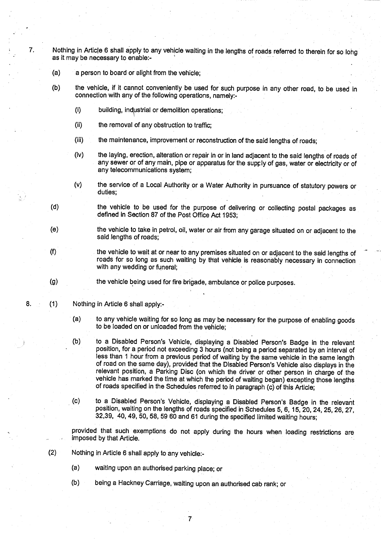7. Nothing in Article 6 shall apply to any vehicle waiting in the lengths of roads referred to therein for so lohg as it may be necessary **to enable:-**

- (a) a person to board or alight from the vehicle;
- (b) the vehicle, if it cannot conveniently be used for such purpose in any other road, to be used in connection with any of the following operations, namely:-
	- 0) building, industrial or demolition operations;
	- (ii) the removal of any obstruction to traffic;
	- (iii) the maintenance, improvement or reconstruction of the said lengths of roads:
	- (iv) the laying, erection, alteration or repair in or in land adjacent to the said lengths of roads of any sewer or of any main, pipe or apparatus for the supply of gas, water or electricity or of any telecommunications system;
	- (v) the service of a Local Authority or a Water Authority in pursuance of statutory powers or duties;
- (d) the vehicle to be used for the purpose of delivering or collecting postal packages as defined in Section 87 of the Post Office Act 1953;
- (e) the vehicle to take in petrol, oil, water or air from any garage situated on or adjacent to the said lengths of roads;
- (f) the vehicle to wait at or near to any premises situated on or adjacent to the said lengths of roads for so long as such waiting by that vehicle is reasonably necessary in connection with any wedding or funeral;
- (g) the vehicle being used for fire brigade, ambulance or police purposes .
- 8. (1) Nothing in Article 6 shall apply:-
	- (a) to any vehicle waiting for so long as may be necessary for the purpose of enabling goods to be loaded on or unloaded from the vehicle:
	- (b) to a Disabled Person's Vehicle, displaying a Disabled Person'**s Badge** in the relevant position, for a period not exceeding 3 hours (not being a period separated by an interval of less than 1 hour from a previous period of waiting by **the same** vehicle in the same length of road. on the same day), provided that the Disabled Person's Vehicle also displays in the relevant position, a Parking Disc (on which the driver or other person in charge of the vehicle has marked the time at which the period of waiting began) excepting those lengths of roads specified in the Schedules referred to in paragraph (c) of this Article ;
	- (c) to a Disabled Person's Vehicle, displaying a Disabled Person's Badge in the relevant position, waiting on the lengths of roads specified in Schedules 5, 6, 15, 20, 24, 25, 26, 27, 32,39, 40, 49, 50, 58, 59 60 and 61 during the specified limited waiting hours ;

provided that such exemptions do not apply during the hours when loading restrictions are imposed by that Article .

- (2) Nothing in Article 6 shall apply to any vehicle:-
	- (a) waiting upon an authorised parking place; or
	- (b) being a Hackney Carriage, waiting upon an authorised cab rank; or

7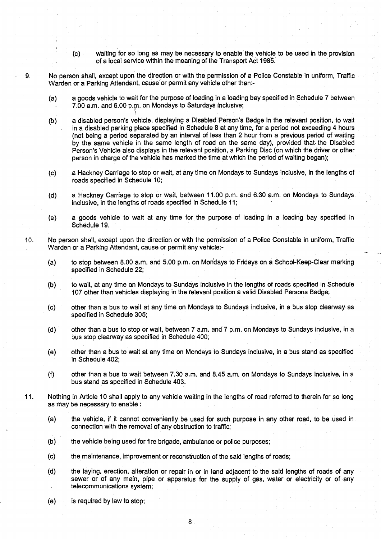- (c) waiting for so long as may be necessary to enable'the vehicle to be used in the provision of a local service within the meaning of the Transport Act 1985.
- 9. No person shall, except upon the direction or with the permission of a Police Constable in uniform, Traffic Warden or a Parking Attendant, cause or permit any vehicle other than:-
	- (a) a goods vehicle to wait for the purpose of loading in a loading bay specified in Schedule 7 between 7.00 a.m . and 6.00 p.rn. on Mondays to Saturdays inclusive;
	- (b) a disabled person's vehicle, displaying a Disabled Person'**s Badge** in the relevant position, to wait in a disabled parking place specified in Schedule 8 at any time, for a period not exceeding 4 hours (not being a period separated by an interval of less than 2 hour from a previous period of waiting by the same vehicle in the same length of road on the same day), provided that. the Disabled Person's Vehicle also displays in the relevant position, a Parking Disc (on which the driver or other person in charge of the vehicle has marked the time at which the period of waiting began);
	- (c) a Hackney Carriage to stop or wait, at any time on Mondays to Sundays inclusive, in the lengths of roads specified in Schedule 10;
	- (d) a Hackney Carriage to stop or wait, between 11 .00 p.m. and 6.30 a .m. on Mondays to Sundays inclusive, in the lengths of roads specified in Schedule 11;
	- (e) a goods vehicle to wait at any time for the purpose of loading in a loading bay specified in Schedule 19.
- 10 . No person shall, except upon the direction or with the permission of a Police Constable in uniform, Traffic Warden or a Parking Attendant, cause or permit any vehicle:-
	- (a) to stop between 8.00 a.m . and 5.00 p.m. on Mondays to Fridays on a School-Keep-Clear marking specified in Schedule 22;
	- (b) to wait, at any time on Mondays to Sundays inclusive in the lengths of roads specified in Schedule 107 other than vehicles displaying in the relevant position a valid Disabled Persons Badge;
	- (c) other than a bus to wait at any time on Mondays to Sundays inclusive, in a bus stop clearway as specified in Schedule 305;
	- (d) other than a bus to stop or wait, between 7 a .m. and 7 p.m. on Mondays to Sundays inclusive, in a bus stop clearway as specified in Schedule 400;
	- (e) other than a bus to wait at any time on Mondays to Sundays inclusive, in a bus stand as specified in Schedule 402;
	- (f) other than a bus to wait between 7 .30 a.m . and 8.45 a.m. on Mondays to Sundays inclusive, in a bus stand as specified in Schedule 403.
- 11 . Nothing in Article 10 shall apply to any vehicle waiting in the lengths of road referred to therein for so long as may be necessary to enable
	- (a) the vehicle, if it cannot conveniently be used for such purpose in any other road, to be used in connection with the removal of any obstruction to traffic;
	- (b) the vehicle being used for fire brigade, ambulance or police purposes;
	- (c) the maintenance, improvement or reconstruction of the said lengths of roads ;
	- (d) the laying, erection, alteration or repair in or in land adjacent to the said lengths of roads of any sewer or of any main, pipe or apparatus for the supply of gas, water or electricity or of any telecommunications system;
	- (e) is required by law to stop;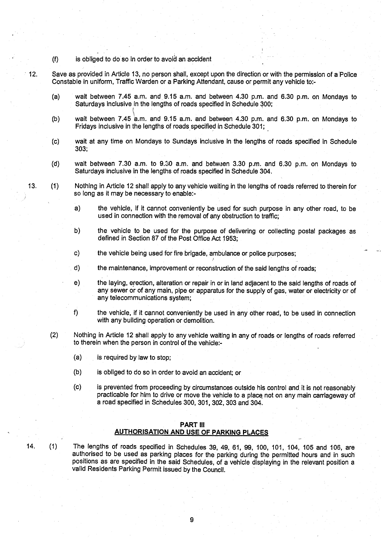- **(f) is obliged to do so in order to avoid an accident**
- 

**<sup>12</sup> . Save as** provided in Article 13**, no person shall, except upon the direction** or **with the permission of** a Police **Constable in uniform** , Traffic **Warden or a Parking Attendant** , **cause or permit any vehicle to:-**

- **(a) wait between** 7.45 a. **m. and . 9 .15 a.m** . **and between 4 .30 p**. **m. and 6** .30 p.m. **on Mondays to Saturdays inclusive in the lengths of roads specified in Schedule 300 ;**
- **(b) wait between** 7.45 a.m. **and 9**.**15 a.m. and between 4 .30 p** . **<sup>m</sup> . and 6**.**30 p.m . on Mondays to Fridays inclusive in the lengths of roads specified in Schedule 301 ;**
- **(c) wait at any time on Mondays to Sundays inclusive in the lengths of roads specified in Schedule 303;**
- **(d) wait between 7.30 a**. **m. to 9.30 a**.**m. and between 3.30 p** . **m. and 6.30 p .m. on Mondays to Saturdays inclusive in the lengths of roads specified in Schedule 304 .**
- **13. (1) Nothing in A**rt**icle 12 shall** apply **to any vehicle waiting in the lengths of roads referred to therein for so long as it may be necessa**ry **to enable:**
	- **a) the vehicle** , **if it cannot conveniently be used for such purpose in any other road, to be used in connection with the removal of any obstruction to** traffic;
	- **b) the vehicle to be used for the purpose of delivering or collecting postal packages as defined in Section 87 of the Post** Office **Act 1953;**
	- **c) the vehicle being used for fire brigade** , **ambulance or police purposes;**
	- **d) the maintenance**, **improvement or reconstruction of the said lengths of roads ;**
	- **e) the laying, erection**, **alteration or repair in or in land adjacent to the said lengths of roads of any sewer or of any main** , **pipe or apparatus for the supply of gas, water or electricity or of any telecommunications system;**
	- **f) the vehicle**, **if it cannot conveniently be used in any other road, to be used in connection with any building operation or demolition.**
	- (**2) Nothing in** Article **12 shall apply to any vehicle waiting in any of roads or lengths of roads referred to therein when the person in control of the vehicle:-**
		- **(a) is required by law to stop ;**
		- **(b) is obliged to do so in order to avoid an accident; or**
		- **(c) is prevented from proceeding by circumstances outside his control and, it is not reasonably practicable for him to drive or move the vehicle to a place not on any main carriageway of a road specified in Schedules 300, 301, 302, 303 and 304 .**

#### **PART III**

## **AUTHORISATION AND USE OF PARKING PLACES**

14. (1) The **lengths of roads specified in Schedules 39, 49, 61, 99, 100, 101, 104, 105 and 106, are authorised to be used as parking places for the parking during the permitted hours and in such positions as are specified in the said Schedules** , **of a vehicle displaying in the relevant position a** valid Residents Parking Permit issued by the Council.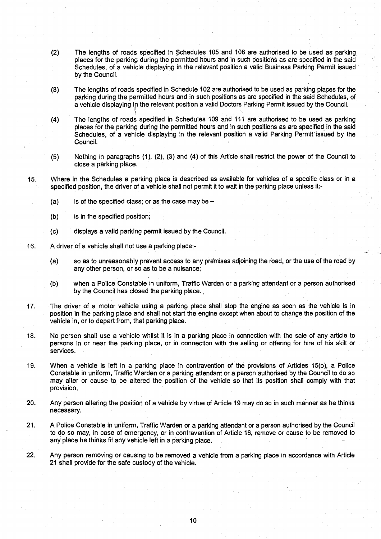- **(2) The lengths of roads specified in Schedules 105 and 108 are authorised to be** Used **as parking places for the parking during the permitted hours and in such positions as are specified in the said Schedules**, **of a vehicle displaying in the relevant position a valid Business Parking Permit issued by the Council.**
- (3) The **lengths of roads specified in Schedule 102 are authorised to be used as parking places for the** parking during the permitted hours and in such positions as are specified in the said Schedules, of **a vehicle displaying** in **the relevant position a valid Doctors Parking Permit issued by the** Council .
- **(4) The lengths of roads specified in Schedules 109 and 111 are authorised to be used as parking places for the parking during the permitted hours and in such positions as are specified in the said Schedules**, **of a vehicle displaying in the relevant position a valid Parking Permit** ' **issued by the Council.**
- **(5) Nothing in paragraphs (1), (2), (3) and** (4) of this Article **shall restrict the power of the** Council to **close a parking place .**
- 15. Where in the **Schedules a parking place is described as available for vehicles of a specific class or in a specified position, the driver of a vehicle shall not permit it to wait in the parking place unless it :-**
	- **(a) is of the specified class**; **or as the case may be -**
	- **(b) is in the specified position;**
	- (**c) displays a valid parking permit issued by the Council .**
- 16. A driver of **a vehicle shall not use a parking place :-**
	- **(a) so as to unreasonably prevent access to any premises adjoining the road, or the use of the road by any other person** , **or so as to be a nuisance ;**
	- **(b) when a Police Constable in uniform** , Traffic **Warden or a parking a** tt**endant or a person authorised** by the Council **has closed the parking place .**
- <sup>17</sup> . The driver **of a motor vehicle using a parking place shall stop the engine as soon as the vehicle is in position in the parking place and shall not start the engine except when about to change the position of the vehicle in, or to depart from**, **that parking place.**
- **<sup>18</sup> . No person shall use a** vehicle whilst **it is in a parking place in connection with the sale of any article to persons in or near the parking place, or in connection with the selling or offering for hire of his skill or services .**
- 19. When **a vehicle is left in a parking place in contravention of the provisions of Articles 15(b),** <sup>a</sup> **Police Constable in uniform** , Traffic Warden or a parking **attendant or a person authorised by the Council to do so may alter or cause to be altered the position of the vehicle so that its position shall comply with that provision .**
- 20. Any **person altering the position of a vehicle by virtue of Article 19 may do so in such manner as he thinks necessa**ry**.**
- <sup>21</sup> . A Police **Constable in uniform** , Traffic **Warden or a parking attendant or a person authorised** by the Council **to do so may**, **in case of emergency**, **or in contravention of Article 16**, **remove or cause to be removed to any place he thinks** fit any **vehicle left in a parking place .**
- 22. Any **person removing or causing to be removed a vehicle from a parking place in accordance** with Article **21 shall provide for the safe custody of** th**e vehicle.**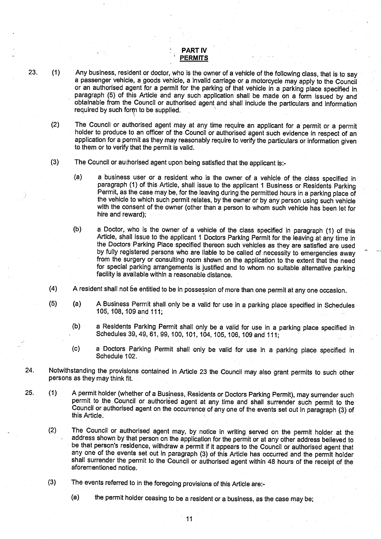#### PART IV **PERMITS**

23. (1) Any business, resident or doctor, who is the owner of a vehicle of the following class, that is to say a passenger vehicle, a goods vehicle, a invalid carriage or a motorcycle may apply to the Council or an authorised agent for a permit for the parking of that vehicle in a parking place specified in paragraph (5) of this Article and any such application shall be made on a form issued by and obtainable from the Council or authorised agent and shall include the particulars and information required by such form to be supplied.

(2) The Council or authorised agent may at any time require an applicant for a permit or a permit holder to produce to an officer of the Council or authorised agent such evidence in respect of an application for a permit as they may reasonably require to verify the particulars or information given to them or to verify that the permit is valid.

- (3) The Council or authorised agent upon being satisfied that the applicant is:-
	- (a) a business user or a resident who is the owner of a vehicle of the class specified in paragraph (1) of this Article, shall issue to the applicant **I** Business or Residents Parking Permit, as the case may be, for the leaving during the permitted hours in a parking place of the vehicle to which such permit relates, by the owner or by any person using such vehicle with the consent of the owner (other than a person to whom such vehicle has been let for hire and reward);
	- (b) a Doctor, who is the owner of a vehicle of the class specified in paragraph (1) of this Article, shall issue to the applicant **I** Doctors Parking Permit for the leaving at any time in the Doctors Parking Place specified thereon such vehicles as they are satisfied are used by fully registered persons who are liable to be called of necessity to emergencies away from the surgery or consulting room shown on the application to the extent that the need for special parking arrangements is justified and to whom no suitable alternative parking facility is available within a reasonable distance.
- (4) A resident shall not be entitled to be in possession of more than one permit at any one occasion .
- (5) (a) A Business Permit shall only be a valid for use in a parking place specified in Schedules 105, 108, 109 and 111 ;
	- (b) a Residents Parking Permit shall only be a valid for use in a parking place specified in Schedules 39, 49, 61, 99, 100, 101, 104, 105, 106, 109 and 111;
	- (c) a Doctors Parking Permit shall only be valid for use in a parking place specified in Schedule 102.
- 24 . Notwithstanding the provisions contained in Article 23 the Council may also grant permits to such other **persons as** they may think fit.
- 25. (1) A permit holder (whether of a Business, Residents or Doctors Parking Permit), may surrender such permit to the Council or authorised agent at any time and shall surrender such permit to the Council or authorised agent on the occurrence of any one of the events set out in paragraph (3) of this Article.
	- (2) The Council or authorised agent may, by notice in writing served on the permit holder at the address shown by that person on the application for the permit or at any other address believed to be that person's residence, withdraw a permit if it appears to the Council or authorised agent that any one of the events set out in paragraph (3) of this Article has occurred and the permit holder shall surrender the permit to the Council or authorised agent within 48 hours of the receipt of the aforementioned notice.
	- (3) The events referred to in the foregoing provisions of this Article are:
		- **(a) the permit holder ceasing to be a resident or a business** , **as the case may be;**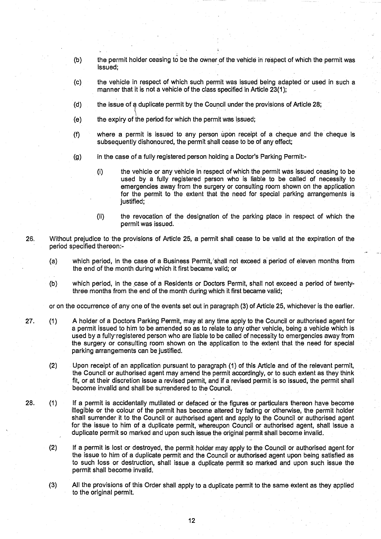- (b) the permit holder ceasing to be the owner of the vehicle in respect of which the permit was issued;
- (c) the vehicle in respect of which such permit was issued being adapted or used in such a manner that it is not a vehicle of the class specified in Article 23(1);
- (d) the issue of a duplicate permit by the Council under the provisions of Article 28 ;
- (e) the expiry of the period for which the permit was issued;
- (f) where a permit is issued to any person upon receipt of a cheque and the cheque is subsequently dishonoured, the permit shall cease to be of any effect;
- (g) in the case of a fully registered person holding a Doctor's Parking Permit:-
	- (i) the vehicle or any vehicle in respect of which the permit was issued ceasing to be used by a fully registered person who is liable to be called of necessity to emergencies away from the surgery or consulting room shown on the application for the permit to the extent that the need for special parking arrangements is justified;
	- (ii) the revocation of the designation of the parking place in respect of which the permit was issued.
- 26. Without prejudice to-the provisions of Article 25, a permit shall cease to be valid at the expiration of the period specified thereon:-
	- (a) which period, in the case of **a Business** Permit,'shall not exceed a period of eleven months from the end of the month during which it first became valid; or
	- (b) which period, in the case of a Residents or Doctors Permit, shall not exceed a period of twentythree months from the end of the month during which it first became valid;

or on the occurrence of any one of the events set out in paragraph (3) of Article 25, whichever is the earlier .

- 27. (1) A holder of a Doctors Parking Permit, may at any time apply to the Council or authorised agent for a permit issued to him to be amended **so as to relate** to any other vehicle, being a vehicle which is used by a fully registered person who are liable to be called of necessity to emergencies away from the surgery or consulting room shown on the application to the extent that the need for special parking arrangements can be justified.
	- (2) Upon receipt of an application pursuant to paragraph (1) of this Article and of the relevant permit, the Council or authorised **agent** may amend the permit accordingly, or to such extent as they think fit, or at their discretion **issue a** revised permit, and if a revised permit **is so issued** , the permit shall become invalid and shall be surrendered to the Council.
- 28. (1) If a permit is accidentally mutilated or defaced or the figures or particulars thereon have become illegible or the colour of the permit has become **altered** by fading or otherwise, the permit holder shall surrender it to the Council or authorised **agent and** apply to the Council or authorised agent for the issue to him of a duplicate permit, whereupon Council or authorised **agent,** shall issue a duplicate permit so marked and upon such issue the original permit shall become invalid .
	- (2) If a permit is lost or destroyed, the permit holder may apply to the Council or authorised agent for the issue to him of a duplicate permit and the Council or authorised **agent** upon being satisfied as to such loss or destruction, shall issue a duplicate permit so marked and upon such issue the permit shall become invalid.
	- (3) All the provisions of this Order shall apply to a duplicate permit to the same extent as they applied to the original permit.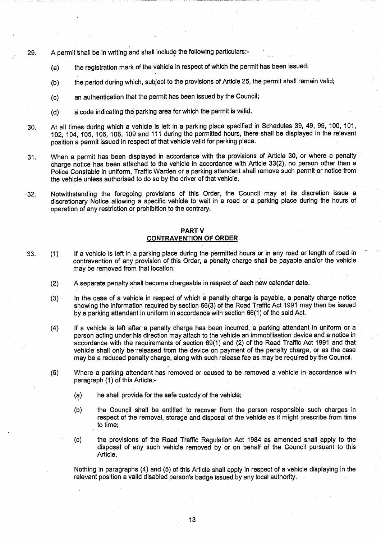- 29. A permit shall be in writing and shall include the following particulars :-
	- (a) the registration mark of the vehicle in respect of which the permit has been issued;
	- (b) the period during which, subject to the provisions of Article 25, the permit shall remain valid;
	- (c) an authentication that the permit has been issued by the Council;
	- (d) a code indicating the **parking area for which the permit is valid.**
- 30. At all times during which a vehicle is left in a parking place specified in Schedules 39, 49, 99, 100, 101, 102, 104, **<sup>1</sup>** 05, 106, 108, 109 and 111 during the permitted hours, there shall be displayed in the relevant position a permit issued in respect of that vehicle valid for parking place.
- <sup>31</sup> . When a permit has been displayed in accordance with the provisions of Article 30, or where a penalty charge notice has been attached to the vehicle in accordance with Article 33(2), no person other than a Police Constable in uniform, Traffic Warden or a parking attendant shall remove such permit or notice from the vehicle unless authorised to do so by the driver of that vehicle.
- $32.$  Notwithstanding the foregoing provisions of this Order, the Council may at its discretion issue a discretionary Notice allowing a specific vehicle to wait in a road or a parking place during the hours of operation of any restriction or prohibition to the contrary.

#### PART V **CONTRAVENTION OF ORDER .**

- 33. (1) If a vehicle is left in a parking place during the permitted hours or in any road or length of road in contravention of any provision of this Order, a penalty charge shall be payable and/or the vehicle may be removed from that location.
	- (2) A separate penalty shall become chargeable in respect of each new calendar date .
	- (3) In the case of a vehicle in respect of which a penalty charge is payable, a penalty charge notice showing the information required by section 66(3) of the Road Traffic Act 1991 may then be issued by a parking attendant in uniform in accordance with section 66(1) of the said Act.
	- (4) If a vehicle is left after a penalty charge has been incurred, a parking attendant in uniform or a person acting under his direction may attach to the vehicle an immobilisation device and a notice in accordance with the requirements of section 69(1) and (2) of the Road Traffic Act 1991 and that vehicle shall only be-released from the device on payment of the penalty charge, or as the case may be a reduced penalty charge, along with such release fee as may be required by the Council .
	- (5) Where a parking attendant has removed or caused to be removed a vehicle in accordance with paragraph (1) of this Article:-
		- (a) he shall provide for the safe custody of the vehicle;
		- (b) the Council shall be entitled to recover from the person responsible such charges in respect of the removal, storage and disposal of the vehicle as it might prescribe from time to time;
		- (c) the provisions of the Road Traffic Regulation Act 1984 as amended shall apply to the disposal of any such vehicle removed by or on behalf of the Council pursuant to this Article.

Nothing in paragraphs (4) and (5) of this Article shall apply in **respect** of a vehicle displaying in the relevant position a valid disabled person's badge issued by any local authority .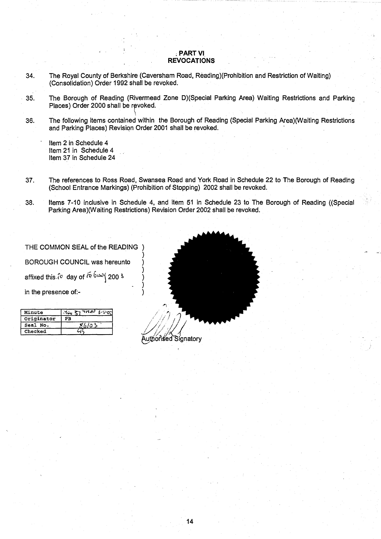#### PART VI **REVOCATIONS**

- 34. The Royal County of Berkshire (Caversham Road, **Reading**)(Prohibition and Restriction of Waiting) (Consolidation) Order 1992 shall be revoked .
- 35. The Borough of Reading (Rivermead Zone D)(Special Parking Area) Waiting Restrictions and Parking Places) Order 2000 shall be revoked.
- 36. The following items contained within the Borough of Reading (Special Parking Area)(Waiting Restrictions and Parking **Places**) Revision Order 2001 shall be revoked .

Item 2 in Schedule 4 Item 21 in Schedule 4 Item 37 in Schedule 24

- 37 . The references to Ross Road, Swansea Road and York Road in Schedule 22 to The Borough of Reading (School Entrance Markings) (Prohibition of Stopping) 2002 shall be revoked.
- 38 . Items 7-10 inclusive in Schedule 4, and item 51 in Schedule 23 to The Borough of Reading ((Special Parking Area)(Waiting Restrictions) Revision Order 2002 shall be revoked.

THE COMMON SEAL of the READING ) BOROUGH COUNCIL was hereunto ) affixed this  $\sqrt{a}$  day of  $\sqrt{b}$   $\omega$   $\sqrt{b}$  200 3 in the presence of:-

| in the presence of:- |                                           |                 |
|----------------------|-------------------------------------------|-----------------|
|                      |                                           |                 |
| Minute               | $x_{i_{1}} \geq 1$ and $x_{i_{2}} \geq 0$ |                 |
| Originator           | PB                                        |                 |
| Seal No.             |                                           |                 |
| Checked              |                                           |                 |
|                      |                                           | $\sim$<br>$  -$ |

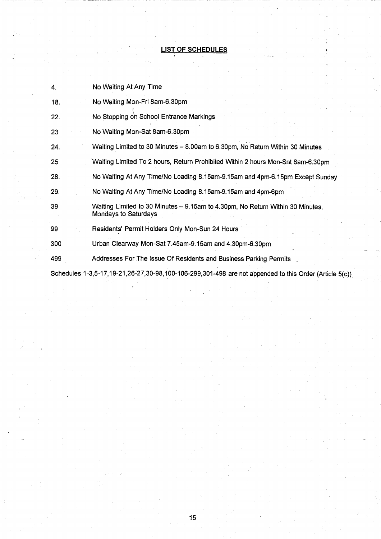## **LIST OF SCHEDULES**

| 4.  | No Waiting At Any Time                                                                                 |
|-----|--------------------------------------------------------------------------------------------------------|
| 18. | No Waiting Mon-Fri 8am-6.30pm                                                                          |
| 22. | No Stopping on School Entrance Markings                                                                |
| 23  | No Waiting Mon-Sat 8am-6.30pm                                                                          |
| 24. | Waiting Limited to 30 Minutes - 8.00am to 6.30pm, No Return Within 30 Minutes                          |
| 25  | Waiting Limited To 2 hours, Return Prohibited Within 2 hours Mon-Sat 8am-6.30pm                        |
| 28. | No Waiting At Any Time/No Loading 8.15am-9.15am and 4pm-6.15pm Except Sunday                           |
| 29. | No Waiting At Any Time/No Loading 8.15am-9.15am and 4pm-6pm                                            |
| 39  | Waiting Limited to 30 Minutes - 9.15am to 4.30pm, No Return Within 30 Minutes,<br>Mondays to Saturdays |
| 99  | Residents' Permit Holders Only Mon-Sun 24 Hours                                                        |
| 300 | Urban Clearway Mon-Sat 7.45am-9.15am and 4.30pm-6.30pm                                                 |
| 499 | Addresses For The Issue Of Residents and Business Parking Permits                                      |
|     | Schedules 1-3,5-17,19-21,26-27,30-98,100-106-299,301-498 are not appended to this Order (Article 5(c)) |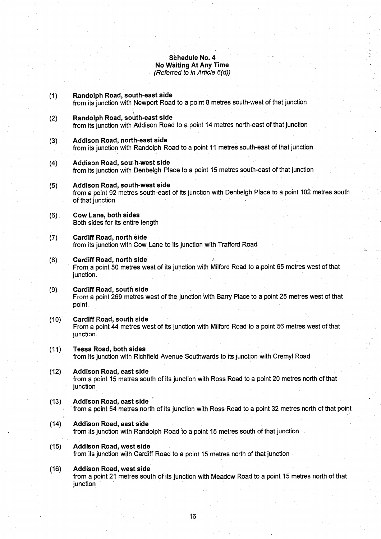#### **Schedule No. 4 No Waiting At** Any Time (Referred to in Article 6(d))

- **(1) Randolph Road** , **south**-**east side** from its junction with Newport Road to a point 8 metres south-west of that junction **(2) Randolph Road** , **south**-**east side** from its junction with Addison Road to **a point** 14 metres north-east of that junction **(3) Addison Road, north**-**east side** from its junction with Randolph Road **to a point** 11 metres south-east of that junction **(4) Addis Dn Road** , **sou';:h-west side** from its junction with Denbelgh Place **to a point 15 metres** south-east of that junction
- **(5) Addison Road** , **south**-**west side** from a point 92 metres south-east of its junction with Denbelgh Place to a point 102 metres south of that junction
- **(6) Cow Lane**, **both sides** Both sides for its entire length
- **(7) Cardiff Road**, **no**rt**h side** from its junction with Cow Lane to its junction with Trafford Road
- **(8) Cardiff Road, no**rt**h side** From a point 50 metres west of its junction with Milford Road to a point 65 metres west of that junction.
- **(9) Cardiff Road**, **south side** From a point 269 metres west of the junction with Barry Place to a point 25 metres west of that point.
- **(10) Cardiff Road**, **south side** From a point 44 metres west of its junction with Milford Road to a point 56 metres west of that junction.
- **(11) Tessa Road**, **both side s** from its junction with Richfield Avenue Southwards to its junction with Cremyl Road
- **(12) Addison Road, east sid e** from a point 15 metres south of its junction with Ross Road to a point 20 metres north of that junction
- **(13) Addison Road**, **east side** from a point 54 metres north of its junction with Ross Road to a point 32 metres north of that point
- (14) Addison **Road, east side** from its junction with Randolph Road to a point 15 metres south of that junction
- **(15) Addison Road**, **west side** from its junction with Cardiff Road to a point 15 metres north of that junction
- **(16) Addison Road**, **west side** from a point 21 metres south of its junction with Meadow Road to a point 15 metres north of that junction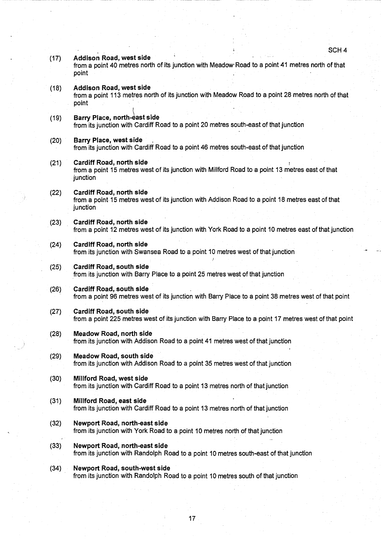#### (17) Addison **Road**, **west side**

from a point 40 metres north of its junction with Meadow- Road to a point 41 metres north of that point

**(18) Addison Road**, **west side** from a point 113 metres north of its junction with Meadow Road to a point 28 metres north of that point

#### (19) Barry **Place**, **north**- **ast side**

from its junction with Cardiff Road to a point 20 metres south-east of that junction

- (20) Barry **Place**, **west side** from its junction with Cardiff Road to a point 46 metres south-east of that junction
- **(21) Cardiff Road**, **north side** from a point 15 metres west of its junction with Millford Road to a point 13 metres east of that iunction
- (22) Cardiff Road, **no**rt**h side** from a point. 15 metres west of its junction with Addison Road to a point 18 metres east of that junction
- (23) Cardiff Road**, no**rt**h side** from a point 12 metres west of its junction with York Road to a point 10 metres east of that junction
- (24) Cardiff Road, **no**rt**h side** from its junction with Swansea Road to a point 10 metres west of that junction
- (25) Cardiff **Road**, **south side** from its junction with Barry Place to a point 25 metres west of that junction
- (26) Cardiff **Road**, **south side** from a point 96 metres west of its junction with Barry Place to a point 38 metres west of that point
- (27) Cardiff Road, **south side** from a point 225 metres west of its junction with Barry Place to a point 17 metres west of that point
- **(28) Meadow Road, no**rt**h side** from its junction with Addison Road to a point 41 metres west of that junction
- **(29) Meadow Road**, **south side** from its junction with Addison Road to a point 35 metres west of that junction
- **(30) Millford Road**, **west side** from its junction with Cardiff Road to a point 13 metres north of that junction
- **(31) Millford Road**, **east side** from its junction with Cardiff Road to a point 13 metres north of that junction
- (32) Newport **Road** , **no** rt**h-east side** from its junction with York Road to a point 10 metres north of that junction
- (33) Newport **Road** , **no** rt**h-east side** from its junction with Randolph Road to a point 10 metres south-east of that junction
- (34) Newport **Road** , **south**-**west side** from its junction with Randolph Road to a point 10 metres south of that junction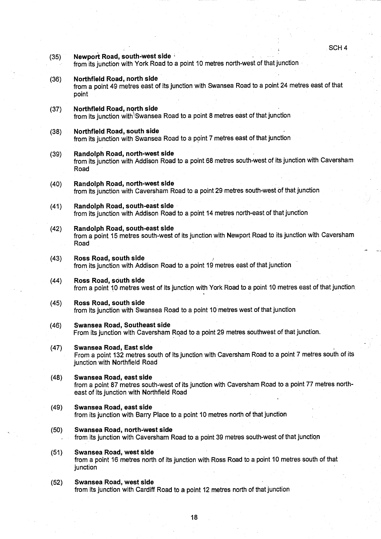- **(35) Newport Road**, **south-west side** from its junction with York Road to a point 10 metres north-west of that junction **(36) Northfield Road** , **no**rt**h side** from a point 49 metres east of its junction with Swansea Road to a point 24 metres east of that point (37) Northfield **Road** , north side from its junction with Swansea Road to a point 8 metres east of that junction (38) Northfield **Road, south sid <sup>e</sup>** from its junction with Swansea Road to a point 7 metres east of that junction **(39) Randolph Road** , **no**rt**h**-**west side** from its junction with Addison Road to a point 68 metres south-west of its junction with Caversham Road (40) Randolph **Road** , **no**rt**h**-**west side** from its junction with Caversham Road to a point 29 metres south-west of that junction (41) Randolph **Road, south-east side** from its junction with Addison Road to a point 14 metres north-east of that junction **(42) Randolph Road, south** -**east side** from a point 15 metres south-west of its junction with Newport Road to its junction with Caversham Road (43) Ross **Road**, **south side** from its junction with Addison Road to a point 19 metres east of that junction (44) Ross **Road**, **south side** from a point 10 metres west of its junction with York Road to a point 10 metres east of that junction. (45) Ross **Road**, **south side** from its junction with Swansea Road to a point 10 metres west of that junction **(46) Swansea Road** , **Southeast side** From its junction with Caversham Road to a point 29 metres southwest of that junction .
	- **(47) Swansea Road**, **East side** From a point 132 metres south of its junction with Caversham Road to a point 7 metres south of its junction with Northfield Road
	- **(48) Swansea Road**, **east side** from a point 87 metres south-west of its junction with Caversham Road to a point 77 metres northeast of its junction with Northfield Road
	- **(49) Swansea Road**, **east side** from its junction with Barry Place to a point 10 metres north of that junction
	- **(50) Swansea Road**, **no**rt**h**-**west side** from its junction with Caversham Road to a point 39 metres south-west of that junction
	- **(51) Swansea Road**, **west side** from a point 16 metres north of its junction with Ross Road to a point 10 metres south of that junction
	- **(52) Swansea Road**, **west side** from its junction with Cardiff Road to a point 12 metres north of that junction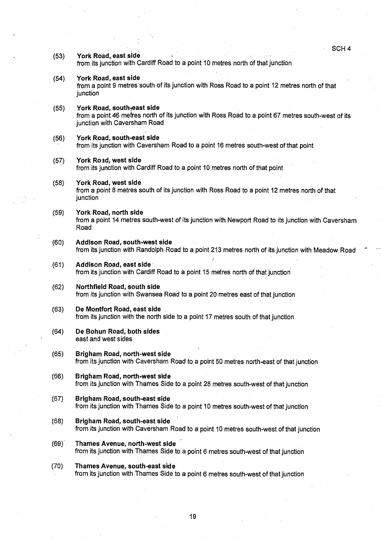SCH 4

(53) York **Road**, **east side**

from its junction with Cardiff Road to a point 10 metres north of that junction

- (54) York Road, **east side** from a point 9 metres south of its junction with Ross Road to a point 12 metres north of that junction
- (55) York Road, south<sub>7</sub>east side from a point 46 metres north of its junction with Ross Road to a point 67 metres south-west of its junction with Caversham Road
- (56) York Road, **south-east side** from its junction with Caversham Road to a point 16 metres south-west of that point
- (57) York Road, **west side** from its junction with Cardiff Road to a point 10 metres north of that point
- (58) York Road, **west side** from a point 8 metres south of its junction with Ross Road to a point 12 metres north of that junction
- (59) York Road, **no**rt**h side** from a point 14 metres south-west of its junction with Newport Road to its junction with Caversham Road
- (60) Addison **Road**, **south**-**west side** from its junction with Randolph Road to a point 213 metres north of its junction with Meadow Road
- **(61) Addison Road, east side** from its junction with Cardiff Road to a point 15 metres north of that junction'
- (62) Northfield **Road**, **south side** from its junction with Swansea Road to a point 20 metres east of that junction
- (63) De **Montfo**rt **Road**, **east side** from its junction with the north side to a point 17 metres south of that junction
- (64) De **Bohun Road**, **both sides** east and west sides
- **(65) Brigham Road**, **no**rt**h-west side** from its junction with Caversham Road to a point 50 metres north-east of that junction
- **(66) Brigham Road**, north-**west side** from its junction with Thames Side to a point 28 metres south-west of that junction
- **(67) Brigham Road**, **south**-**east side** from its junction with Thames Side to a point 10 metres south-west of that junction
- **(68)** Brigham Road, south-east side from its junction with Caversham Road to a point 10 metres south-west of that junction
- (69)' Thames **Avenue**, **no**rt**h-west side** from its junction with Thames Side to a point 6 metres south-west of that junction
- (70) Thames Avenue, **south**-**east side** from its junction with Thames Side to a point 6 metres south-west of that junction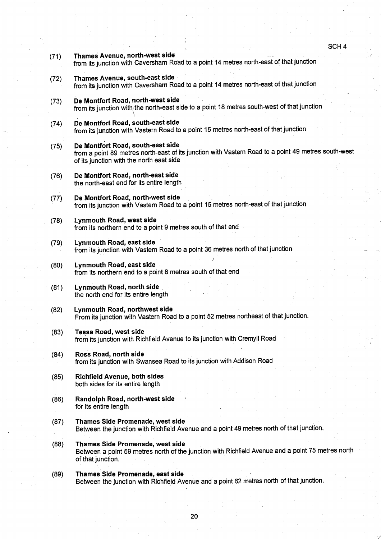- (71) Thames **Avenue**, **north**-**west side** from its junction with Caversham Road to a point 14 metres north-east of that junction
- (72) Thames **Avenue**, **south**-**east side** from its junction with Caversham Road to a point 14 metres north-east of that junction
- (73) De **Montfo**rt **Road**, **north**-**west side** from its junction with the north-east side to a point 18 metres south-west of that junction
- (74) De **Montfo**rt **Road**, **south**-**east side** from its junction with Vastern Road to a point 15 metres north-east of that junction
- **(75) De Montfo**rt **Road** , **south**-**east side** from a point 89 metres north-east of its junction with Vastern Road to a point 49 metres south-west of its junction with the north east side
- (76) De **Montfo**rt **Road** , **no**rt**h-east side** the north-east end for its entire length
- (77) De **Montfo** rt. **Road**, **no**rt**h**-**west side** from its junction with Vastern Road to a point 15 metres north-east of that junction
- (78) Lynmouth **Road**, **west side** from its northern end to a point 9 metres south of that end
- (79) Lynmouth **Road**, **east side** from its junction with Vastern Road to a point 36 metres north of that junction
- (80) Lynmouth **Road**, **east side** from its northern end to a point 8 metres south of that end
- (81) Lynmouth **Road**, **no**rt**h side** the north end for its entire length
- (82) Lynmouth **Road**, **no**rt**hwest side** From its junction with Vastern Road to a point 52 metres northeast of that junction .
- **(83) Tessa Road**, **west side** from its junction with Richfield Avenue to its junction with Cremyll Road
- (84) Ross **Road**, **no**rt**h side** from its junction with Swansea Road to its junction with Addison Road
- **(85) Richfield Avenue**, **both sides** both sides for its entire length
- **(86) Randolph Road**, **no** rt**h**-**west side** for its entire length
- (87) Thames **Side Promenade** , **west side** Between the junction with Richfield Avenue and a point 49 metres north of that junction .
- (88) Thames **Side Promenade** , **west sid <sup>e</sup>** Between a point 59 metres north of the junction with Richfield Avenue and a point 75 metres north of that junction .
- (89) Thames **Side Promenade** , **east side** Between the junction with Richfield Avenue and a point 62 metres north of that junction.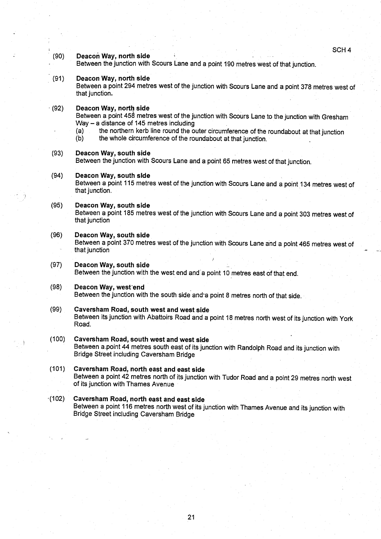SCH 4

#### **(90) Deacon Way, no**rt**h side**

Between the junction with Scours Lane and a point 190 metres west of that junction .

#### **(91) Deacon Way**, **no**rt**h sid e**

Between a point 294 metres west of the junction with Scours Lane and a point 378 metres west of that junction.

 $(92)$  **Deacon Way, north side** 

Between a point 458 metres west of the junction with Scours Lane to the junction with Gresham Way  $-$  a distance of 145 metres including

- (a) the northern kerb line round the outer circumference of the roundabout at that junction  $(b)$  the whole circumference of the roundabout at that junction.
	- the whole circumference of the roundabout at that junction.

#### **(93)** Deacon Way, south side

Between the junction with Scours Lane and a point 65 metres west of that junction .

**(94)** Deacon Way, south side

Between a point 115 metres west of the junction with Scours Lane and a point 134 metres west of that junction.

#### **(95)** Deacon Way, south side

Between a point 185 metres west of the junction with Scours Lane and a point 303 metres west of that junction

#### **(96)** Deacon Way, south side

Between a point 370 metres west of the junction with Scours Lane and a point 465 metres west of that junction

#### (97) Deacon **Way, south side**

Between the junction with the west end and'a point 10 metres east of that end .

#### **(98) Deacon Way, west-end**

Between the junction with the south side and'a point 8 metres north of that side .

#### (99) Caversham **Road** , **south west and west sid e**

Between its junction with Abattoirs Road and a point 18 metres north west of its junction with York Road.

#### (100) Caversham **Road, south west and west side**

Between a .point 44 metres south east of its junction with Randolph Road and its junction with Bridge Street including Caversham Bridge

(101) Caversham **Road** , **no** rt**h east and east side** Between a point 42 metres north of its junction with Tudor Road and a point 29 metres north west of its junction with Thames Avenue

#### •(102) Caversham **Road**, **north east and east sid <sup>e</sup>** Between a point 116 metres north west of its junction with Thames Avenue and its junction with Bridge Street including Caversham Bridge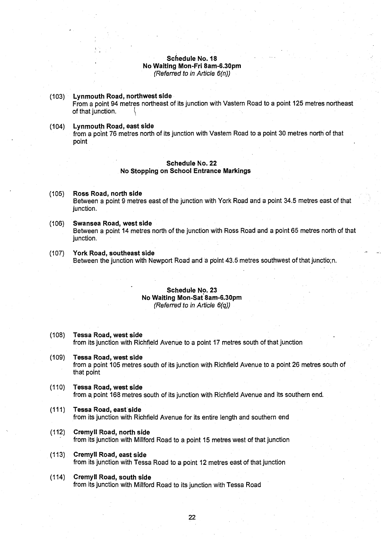#### **Schedule No . 1 8 No Waiting Mon-Fri 8am-6 .30pm** (Referred to in Article 6(n))

#### (103) Lynmouth **Road** , **no**rt**hwest side** From a point 94 metres northeast of its junction with Vastern Road to a point 125 metres northeast of that junction.

(104) Lynmouth **Road** , **east side** from a point 76 metres north of its junction with Vastern Road to a point 30 metres north of that point

#### **Schedule No. 22 No Stopping on School Entrance Markings**

- (105) Ross **Road**, **no**rt**h side** Between a point 9 metres east of the junction with York Road and a point 34 .5 metres east of that junction.
- **(106) Swansea Road**, **west side** Between a point 14 metres north of the junction with Ross Road and a point 65 metres north of that junction.
- (107) York **Road** , **southeast sid <sup>e</sup>** Between the junction with Newport Road and a point 43.5 metres southwest of that junctio;n.

#### **Schedule No. 23 No Waiting Mon** -**Sat 8am**-**6.30pm** (Referred to in Article 6(q))

**(108) Tessa Road**, **west side**

from its junction with Richfield Avenue to a point 17 metres south of that junction

- **(109) Tessa Road**, **west side** from a point 105 metres south of its junction with Richfield Avenue to a point 26 metres south of that point
- (110) Tessa **Road, west side** from a point 168 metres south of its junction with Richfield Avenue and its southern end.

22

- **(111) Tessa Road**, **east'side** from its junction with Richfield Avenue for its entire length and southern end
- (112) Cremyll **Road**, **no**rt**h side** from its junction with Millford Road to a point 15 metres west of that junction
- **(113) Cremyll Road**, **east side** from its junction with Tessa Road to a point 12 metres east of that junction
- (114) Cremyll Road, **south side** from its junction with Millford Road to its junction with Tessa Road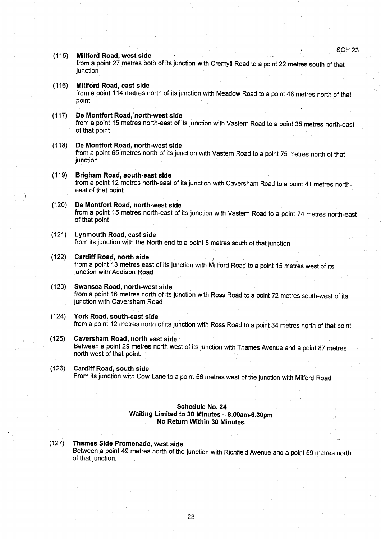SCH 23

#### **(115) Millford Road**, **west side**

from a point 27 metres both of its junction with Cremyll Road to a point 22 metres south of that junction

#### **(116) Millford Road, east side**

from a point 114 metres north of its junction with Meadow Road to a point 48 metres north of that point

## **(117) De Montfort Road** ,**tinorth**-**west side**

from a point 15 metres north-east of its junction with Vastern Road to a point 35 metres north-east of that point

## **(118) De Montfo**rt **Road**, **no**rt**h**-**west side** from a point 65 metres north of its junction with Vastern Road to a point 75 metres north of that junction

#### **(119) Brigham Road, south**-**east side** from a point 12 metres north-east of its junction with Caversham Road to a point 41 metres northeast of that point

#### (120) De **Montfo**rt **Road, no**rt**h**-**west side**

from a point 15 metres north-east of its junction with Vastern Road to a point 74 metres north-east of that point

#### (121) Lynmouth **Road**, **east side** from its junction with the North end to a point 5 metres south of that junction

- (122) Cardiff Road, **no**rt**h side** from a point 13 metres east of its junction with Millford Road to a point 15 metres west of its junction with Addison Road
- **(123) Swansea Road**, north-**west side** from a point 16 metres north of its junction with Ross Road to a point 72 metres south-west of its junction with Caversham Road
- (124) York Road**, south**-**east side** from a point 12 metres north of its junction with Ross Road to a point 34 metres north of that point
- (125) Caversham **Road**, **no** rt**h east side** Between a point 29 metres north west of its junction with Thames Avenue and a point 87 metres north west of that point.

#### **(126) Cardiff Road**, **south side** From its junction with Cow Lane to a point 56 metres west of the junction with Milford Road

#### **Schedule No. 24 Waiting Limited to 30 Minutes - 8.00am-6 .30pm No Return Within 30 Minutes .**

#### (127) Thames **Side Promenade**, **west side**

Between a point 49 metres north of the junction with Richfield Avenue and a point 59 metres north of that junction .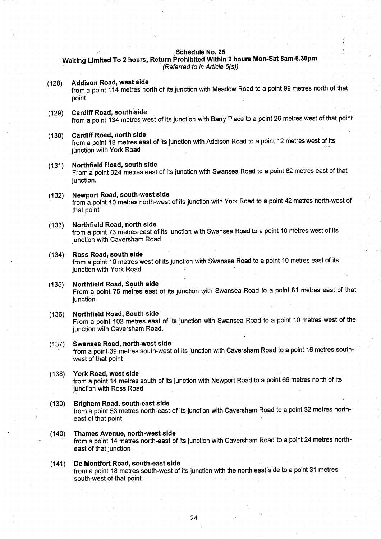#### **Schedule No. 25**

**Waiting Limited** To 2 hours, **Return Prohibited Within 2 hours Von-Sat 8am**-**6.30pm** (Referred to in Article 6(s))

| (128) | Addison Road, west side<br>from a point 114 metres north of its junction with Meadow Road to a point 99 metres north of that<br>point                               |
|-------|---------------------------------------------------------------------------------------------------------------------------------------------------------------------|
| (129) | Cardiff Road, south side<br>from a point 134 metres west of its junction with Barry Place to a point 26 metres west of that point                                   |
| (130) | Cardiff Road, north side<br>from a point 18 metres east of its junction with Addison Road to a point 12 metres west of its<br>junction with York Road               |
| (131) | Northfield Road, south side<br>From a point 324 metres east of its junction with Swansea Road to a point 62 metres east of that<br>junction.                        |
| (132) | Newport Road, south-west side<br>from a point 10 metres north-west of its junction with York Road to a point 42 metres north-west of<br>that point                  |
| (133) | Northfield Road, north side<br>from a point 73 metres east of its junction with Swansea Road to a point 10 metres west of its<br>junction with Caversham Road       |
| (134) | Ross Road, south side<br>from a point 10 metres west of its junction with Swansea Road to a point 10 metres east of its<br>junction with York Road                  |
| (135) | Northfield Road, South side<br>From a point 75 metres east of its junction with Swansea Road to a point 81 metres east of that<br>junction.                         |
| (136) | Northfield Road, South side<br>From a point 102 metres east of its junction with Swansea Road to a point 10 metres west of the<br>junction with Caversham Road.     |
| (137) | Swansea Road, north-west side<br>from a point 39 metres south-west of its junction with Caversham Road to a point 16 metres south-<br>west of that point            |
| (138) | York Road, west side<br>from a point 14 metres south of its junction with Newport Road to a point 66 metres north of its<br>junction with Ross Road                 |
| (139) | Brigham Road, south-east side<br>from a point 53 metres north-east of its junction with Caversham Road to a point 32 metres north-<br>east of that point            |
| (140) | <b>Thames Avenue, north-west side</b><br>from a point 14 metres north-east of its junction with Caversham Road to a point 24 metres north-<br>east of that junction |
| (141) | De Montfort Road, south-east side<br>from a point 18 metres south-west of its junction with the north east side to a point 31 metres<br>south-west of that point    |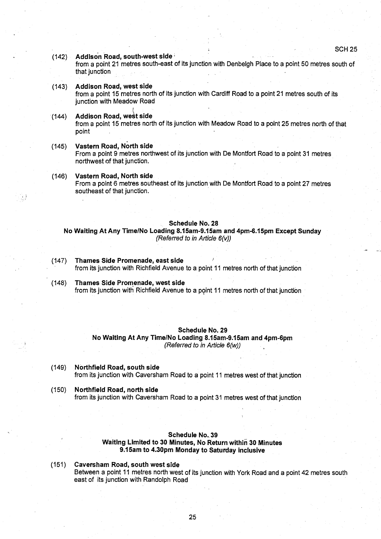#### (142) Addison **Road**, **south**-**west side**

from a point 21 metres south-east of its junction with Denbeigh Place to a point 50 metres south of that junction

(143) Addison **Road**, **west side** from a point 15 metres north of its junction with Cardiff Road to a point 21 metres south of its junction with Meadow Road

## (144) Addison Road, west side

from a point 15 metres north of its junction with Meadow Road to a point 25 metres north of that point

#### **(145) Vastern Road, No**rt**h side**

...)

From a point 9 metres northwest of its junction with De Montfort Road to a point 31 metres northwest of that junction .

(146) Vastern **Road**, **No**rt**h side** From a point 6 metres southeast of its junction with De Montfort Road to a point 27 metres southeast of that junction.

#### **Schedule No. 28**

**No Waiting At** Any Time/**No Loading 8.15am-9.15am and 4pm-6**.**15pm Except Sunday** (Referred to in Article 6(v))

- (147) Thames **Side Promenade** , **east side** from its junction with Richfield Avenue to a point 11 metres north of that junction
- (148) Thames **Side Promenade** , **west side** from its junction with Richfield Avenue to a point 11 metres north of that junction

#### **Schedule No. 29**

**No Waiting At** Any Time/**No Loading 8.15am**-**<sup>9</sup> .15am and 4pm-6pm** (Referred to in Article 6(w))

- (149) Northfield **Road** , **south side** from its junction with Caversham Road to a point 11 metres west of that junction
- (150) Northfield **Road** , **no**rt**h side** from its junction with Caversham Road to a point 31 metres west of that junction

#### **Schedule No. 39**

#### **Waiting Limited to 30 Minutes** , **No Return within 30 Minutes** <sup>9</sup> .1 Sam **to 4.30pm Monday to Saturday inclusive**

(151) Caversham **Road**, **south west sid e** Between a point 11 metres north west of its junction with York Road and a point 42 metres south east of its junction with Randolph Road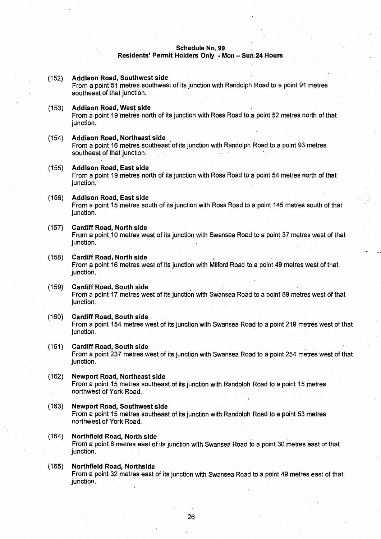#### **Schedule No. 99**

**Residents**' **Permit Holders Only - Mon** - Sun-24 **Hours**

| (152) | <b>Addison Road, Southwest side</b><br>From a point 51 metres southwest of its junction with Randolph Road to a point 91 metres<br>southeast of that junction. |
|-------|----------------------------------------------------------------------------------------------------------------------------------------------------------------|
| (153) | <b>Addison Road, West side</b><br>From a point 19 metrès north of its junction with Ross Road to a point 52 metres north of that<br>junction.                  |
| (154) | <b>Addison Road, Northeast side</b><br>From a point 16 metres southeast of its junction with Randolph Road to a point 93 metres<br>southeast of that junction. |
| (155) | <b>Addison Road, East side</b><br>From a point 19 metres north of its junction with Ross Road to a point 54 metres north of that<br>junction.                  |
| (156) | <b>Addison Road, East side</b><br>From a point 15 metres south of its junction with Ross Road to a point 145 metres south of that<br>junction.                 |
| (157) | <b>Cardiff Road, North side</b><br>From a point 10 metres west of its junction with Swansea Road to a point 37 metres west of that<br>junction.                |
| (158) | <b>Cardiff Road, North side</b><br>From a point 16 metres west of its junction with Milford Road to a point 49 metres west of that<br>junction.                |
| (159) | <b>Cardiff Road, South side</b><br>From a point 17 metres west of its junction with Swansea Road to a point 89 metres west of that<br>junction.                |
| (160) | <b>Cardiff Road, South side</b><br>From a point 154 metres west of its junction with Swansea Road to a point 219 metres west of that<br>junction.              |
| (161) | <b>Cardiff Road, South side</b><br>From a point 237 metres west of its junction with Swansea Road to a point 254 metres west of that<br>junction.              |
| (162) | <b>Newport Road, Northeast side</b><br>From a point 15 metres southeast of its junction with Randolph Road to a point 15 metres<br>northwest of York Road.     |
| (163) | <b>Newport Road, Southwest side</b><br>From a point 15 metres southeast of its junction with Randolph Road to a point 53 metres<br>northwest of York Road.     |
| (164) | Northfield Road, North side<br>From a point 8 metres east of its junction with Swansea Road to a point 30 metres east of that<br>junction.                     |
| (165) | Northfield Road, Northside<br>From a point 32 metres east of its junction with Swansea Road to a point 49 metres east of that<br>junction.                     |
|       |                                                                                                                                                                |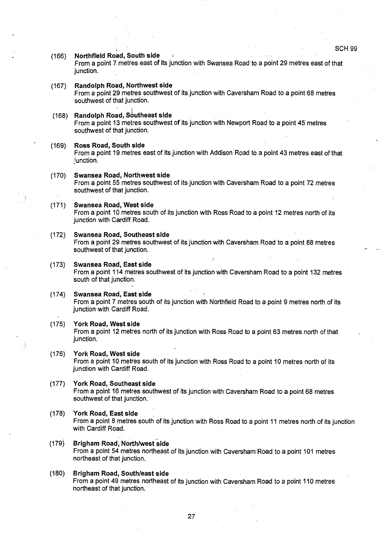## (166) Northfield **Road, South side** From a point 7. metres east of its junction with Swansea Road to a point 29 metres east of that junction. (167) Randolph **Road**, **No**rt**hwest side** From a point 29 metres southwest of its junction with Caversham Road to a point 68 metres southwest of that junction. **(168)** Randolph Road, Southeast side From a point 13 metres southwest of its junction with Newport Road to a point 45 metres southwest of that junction. **(169) Ross Road** , **South side** From a point 19 metres east of its junction with Addison Road to a point 43 metres east of that unction. (170) Swansea **Road**, **No**rt**hwest side** From a point 55 metres southwest of its junction with Caversham Road to a point 72 metres southwest of that junction. (171) Swansea **Road**, **West sid <sup>e</sup>** From a point 10 metres south of its junction with Ross Road to a point 12 metres north of its junction with Cardiff Road. (172) Swansea **Road**, **Southeast sid e** From a point 29 metres southwest of its junction with Caversham Road to a point 88 metres southwest of that junction. (173) Swansea **Road, East sid e** From a point 114 metres southwest of its junction with Caversham Road to a point 132 metres south of that junction. (174) Swansea **Road** , **East side** From a point 7 metres south of its junction with Northfield Road to a point 9 metres north of its junction with Cardiff Road. (175) York **Road** , **West side** From a point 12 metres north of its junction with Ross Road to a point 63 metres north of that junction. (176) York **Road** , **West side** From a point 10 metres south of its junction with Ross Road to a point 10 metres north of its junction with Cardiff Road. (177) York Road, **Southeast side** From a point 16 metres southwest of its junction with Caversham Road to a point 68 metres southwest of that junction. (178) York Road, **East side** From a point 8 metres south of its junction with Ross Road to a point 11 metres north of its junction with Cardiff Road. (**179) Brigham Road** , North/**west side**

- From a point 54 metres northeast of its junction with Caversham Road to a point 101 metres northeast of that junction .
- ( **180) Brigham Road**, **South**/**east side** From a point 49 metres northeast of its junction with Caversham Road to a point 110 metres northeast of that junction.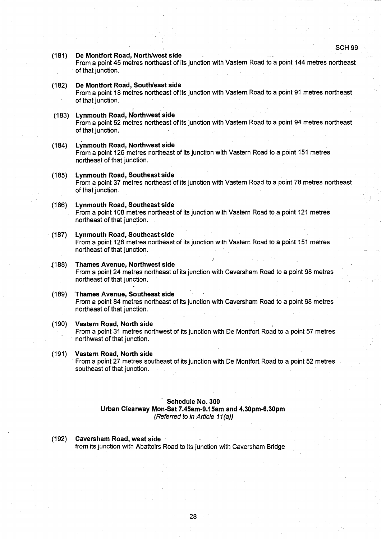SCH 99

(181) De **Montfo**rt **Road, No**rt**h**/**west side**

From a point 45 metres northeast of its junction with Vastern Road to a point 144 metres northeast of that junction.

**(182) De Montfo**rt **Road** , **South**/**east side** From a point 18 metres northeast of its junction with Vastern Road to a point 91 metres northeast of that junction.

#### (183) Lynmouth **Road** , **<sup>N</sup>** rt**hwest side**

From a point 52 metres northeast of its junction with Vastern Road to a point 94 metres northeast of that junction.

- (184) Lynmouth **Road** , **No**rt**hwest side** From a point 125 metres northeast of its junction with Vastern Road to a point 151 metres northeast of that junction .
- (185) Lynmouth **Road** , **Southeast sid e** From a point 37 metres northeast of its junction with Vastern Road to a point 78 metres northeast of that junction.

## (186) Lynmouth **Road** , **Southeast side**

From a point 108 metres northeast of its junction with Vastern Road to a point 121 metres northeast of that junction .

- (187) Lynmouth **Road, Southeast side** From a point 128 metres northeast of its junction with Vastern Road to a point 151 metres northeast of that junction .
- .(188) Thames **Avenue**, **No**rt**hwest side** From a point 24 metres northeast of its junction with Caversham Road to a point 98 metres northeast of that junction.
- (189) Thames **Avenue**, **Southeast sid e** From a point 84 metres northeast of its junction with Caversham Road to a point 98 metres northeast of that junction.
- (190) Vastern **Road**, **No**rt**h side** From a point 31 metres northwest of its junction with De Montfort Road to a point 57 metres northwest of that junction.
- (191) Vastern **Road**, **No**rt**h side** From a point 27 metres southeast of its junction with De Montfort Road to a point 52 metres southeast of that junction.

#### **Schedule No. 300**

**Urban Clearway Mon-Sat 7.45am**-**<sup>9</sup> .15am and 4.30pm**-**6.30pm** (Referred to in Article 11(a))

**(192) Caversham Road, west** side' . from its junction with Abattoirs Road to its junction with Caversham Bridge